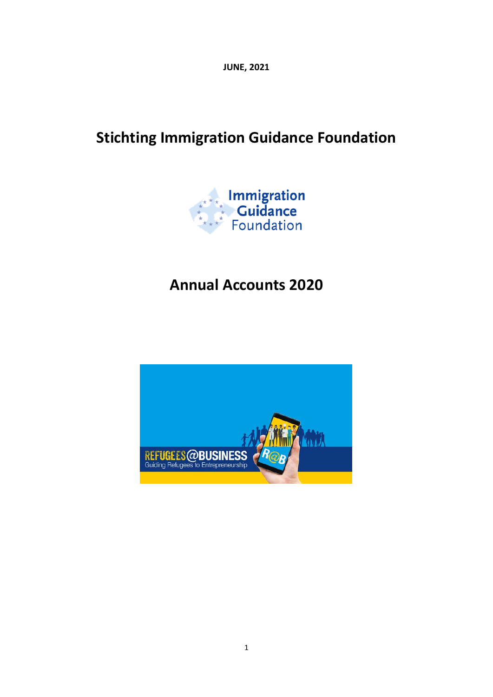**JUNE, 2021**

# **Stichting Immigration Guidance Foundation**



# **Annual Accounts 2020**

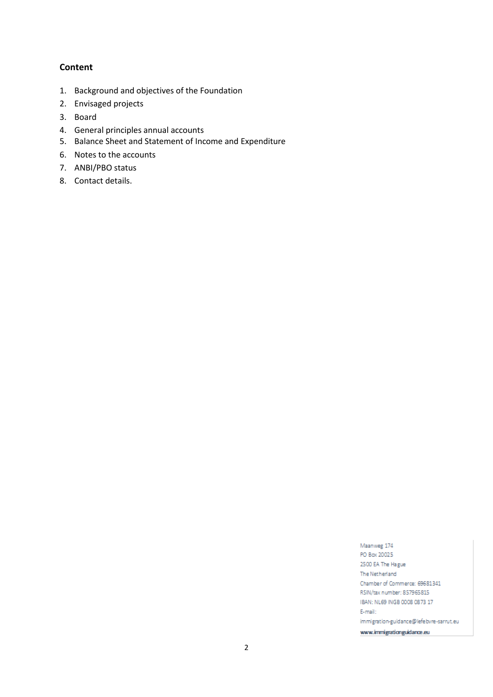### **Content**

- 1. Background and objectives of the Foundation
- 2. Envisaged projects
- 3. Board
- 4. General principles annual accounts
- 5. Balance Sheet and Statement of Income and Expenditure
- 6. Notes to the accounts
- 7. ANBI/PBO status
- 8. Contact details.

Maanweg 174 PO Box 20025 2500 EA The Hague The Netherland Chamber of Commerce: 69681341 RSIN/tax number: 857965815 IBAN: NL69 INGB 0008 0873 17 E-mail: immigration-guidance@lefebvre-sarrut.eu www.immigrationguidance.eu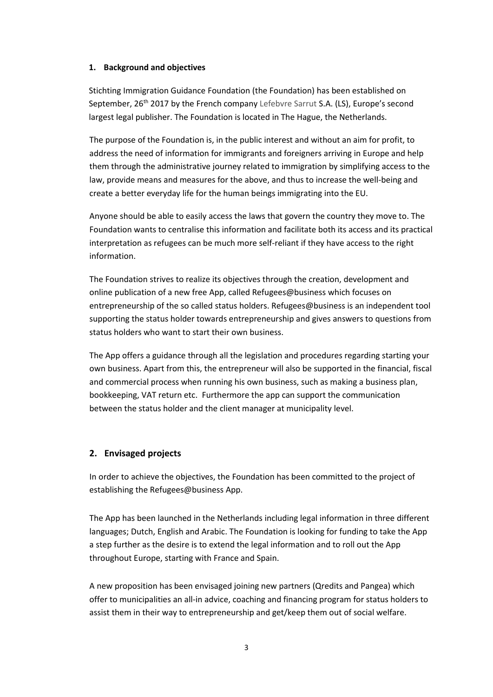#### **1. Background and objectives**

Stichting Immigration Guidance Foundation (the Foundation) has been established on September, 26<sup>th</sup> 2017 by the French company Lefebvre Sarrut S.A. (LS), Europe's second largest legal publisher. The Foundation is located in The Hague, the Netherlands.

The purpose of the Foundation is, in the public interest and without an aim for profit, to address the need of information for immigrants and foreigners arriving in Europe and help them through the administrative journey related to immigration by simplifying access to the law, provide means and measures for the above, and thus to increase the well-being and create a better everyday life for the human beings immigrating into the EU.

Anyone should be able to easily access the laws that govern the country they move to. The Foundation wants to centralise this information and facilitate both its access and its practical interpretation as refugees can be much more self-reliant if they have access to the right information.

The Foundation strives to realize its objectives through the creation, development and online publication of a new free App, called Refugees@business which focuses on entrepreneurship of the so called status holders. Refugees@business is an independent tool supporting the status holder towards entrepreneurship and gives answers to questions from status holders who want to start their own business.

The App offers a guidance through all the legislation and procedures regarding starting your own business. Apart from this, the entrepreneur will also be supported in the financial, fiscal and commercial process when running his own business, such as making a business plan, bookkeeping, VAT return etc. Furthermore the app can support the communication between the status holder and the client manager at municipality level.

#### **2. Envisaged projects**

In order to achieve the objectives, the Foundation has been committed to the project of establishing the Refugees@business App.

The App has been launched in the Netherlands including legal information in three different languages; Dutch, English and Arabic. The Foundation is looking for funding to take the App a step further as the desire is to extend the legal information and to roll out the App throughout Europe, starting with France and Spain.

A new proposition has been envisaged joining new partners (Qredits and Pangea) which offer to municipalities an all-in advice, coaching and financing program for status holders to assist them in their way to entrepreneurship and get/keep them out of social welfare.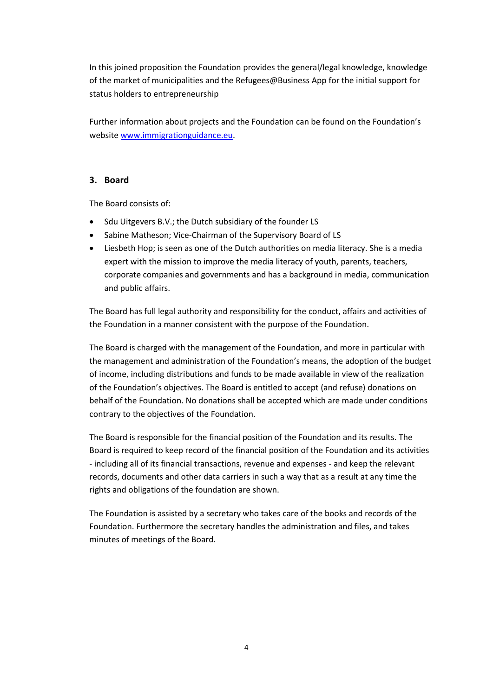In this joined proposition the Foundation provides the general/legal knowledge, knowledge of the market of municipalities and the Refugees@Business App for the initial support for status holders to entrepreneurship

Further information about projects and the Foundation can be found on the Foundation's website [www.immigrationguidance.eu.](http://www.immigrationguidance.eu/)

### **3. Board**

The Board consists of:

- Sdu Uitgevers B.V.; the Dutch subsidiary of the founder LS
- Sabine Matheson; Vice-Chairman of the Supervisory Board of LS
- Liesbeth Hop; is seen as one of the Dutch authorities on media literacy. She is a media expert with the mission to improve the media literacy of youth, parents, teachers, corporate companies and governments and has a background in media, communication and public affairs.

The Board has full legal authority and responsibility for the conduct, affairs and activities of the Foundation in a manner consistent with the purpose of the Foundation.

The Board is charged with the management of the Foundation, and more in particular with the management and administration of the Foundation's means, the adoption of the budget of income, including distributions and funds to be made available in view of the realization of the Foundation's objectives. The Board is entitled to accept (and refuse) donations on behalf of the Foundation. No donations shall be accepted which are made under conditions contrary to the objectives of the Foundation.

The Board is responsible for the financial position of the Foundation and its results. The Board is required to keep record of the financial position of the Foundation and its activities - including all of its financial transactions, revenue and expenses - and keep the relevant records, documents and other data carriers in such a way that as a result at any time the rights and obligations of the foundation are shown.

The Foundation is assisted by a secretary who takes care of the books and records of the Foundation. Furthermore the secretary handles the administration and files, and takes minutes of meetings of the Board.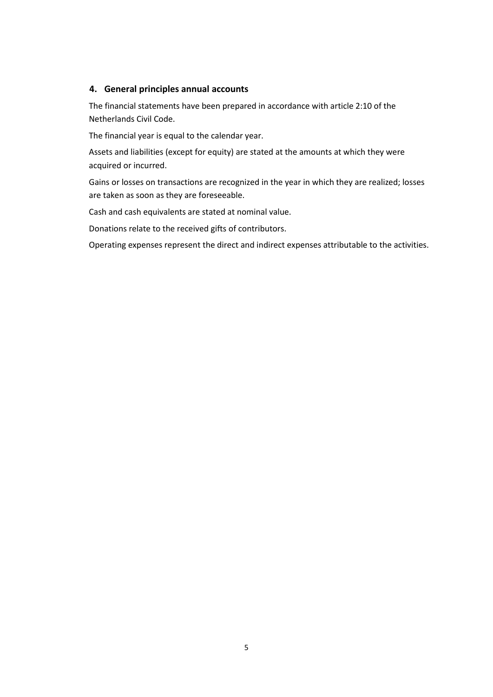### **4. General principles annual accounts**

The financial statements have been prepared in accordance with article 2:10 of the Netherlands Civil Code.

The financial year is equal to the calendar year.

Assets and liabilities (except for equity) are stated at the amounts at which they were acquired or incurred.

Gains or losses on transactions are recognized in the year in which they are realized; losses are taken as soon as they are foreseeable.

Cash and cash equivalents are stated at nominal value.

Donations relate to the received gifts of contributors.

Operating expenses represent the direct and indirect expenses attributable to the activities.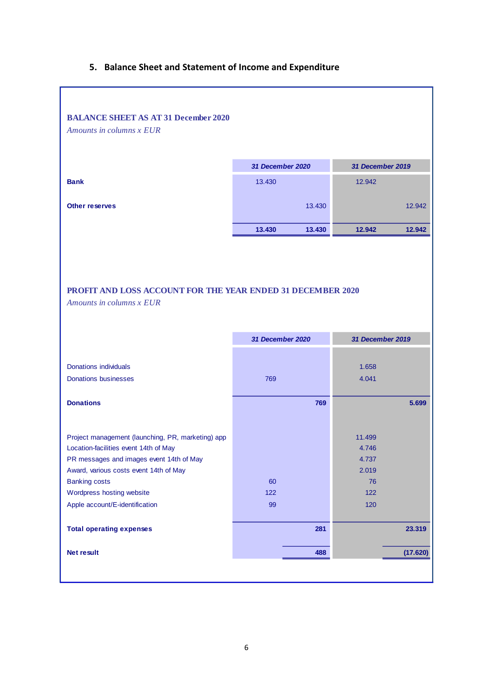## **5. Balance Sheet and Statement of Income and Expenditure**

| <b>BALANCE SHEET AS AT 31 December 2020</b>                 |                  |        |                  |          |
|-------------------------------------------------------------|------------------|--------|------------------|----------|
| Amounts in columns x EUR                                    |                  |        |                  |          |
|                                                             |                  |        |                  |          |
|                                                             |                  |        |                  |          |
|                                                             | 31 December 2020 |        | 31 December 2019 |          |
| <b>Bank</b>                                                 | 13.430           |        | 12.942           |          |
| <b>Other reserves</b>                                       |                  | 13.430 |                  | 12.942   |
|                                                             |                  |        |                  |          |
|                                                             | 13.430           | 13.430 | 12.942           | 12.942   |
|                                                             |                  |        |                  |          |
|                                                             |                  |        |                  |          |
|                                                             |                  |        |                  |          |
|                                                             |                  |        |                  |          |
| PROFIT AND LOSS ACCOUNT FOR THE YEAR ENDED 31 DECEMBER 2020 |                  |        |                  |          |
| Amounts in columns x EUR                                    |                  |        |                  |          |
|                                                             |                  |        |                  |          |
|                                                             |                  |        |                  |          |
|                                                             |                  |        |                  |          |
|                                                             | 31 December 2020 |        | 31 December 2019 |          |
|                                                             |                  |        |                  |          |
| <b>Donations individuals</b>                                |                  |        | 1.658            |          |
| <b>Donations businesses</b>                                 | 769              |        | 4.041            |          |
|                                                             |                  |        |                  |          |
| <b>Donations</b>                                            |                  | 769    |                  | 5.699    |
|                                                             |                  |        |                  |          |
|                                                             |                  |        |                  |          |
| Project management (launching, PR, marketing) app           |                  |        | 11.499           |          |
| Location-facilities event 14th of May                       |                  |        | 4.746            |          |
| PR messages and images event 14th of May                    |                  |        | 4.737            |          |
| Award, various costs event 14th of May                      |                  |        | 2.019            |          |
| <b>Banking costs</b>                                        | 60               |        | 76               |          |
| Wordpress hosting website                                   | 122              |        | 122              |          |
| Apple account/E-identification                              | 99               |        | 120              |          |
|                                                             |                  |        |                  |          |
| <b>Total operating expenses</b>                             |                  | 281    |                  | 23.319   |
| <b>Net result</b>                                           |                  | 488    |                  | (17.620) |
|                                                             |                  |        |                  |          |